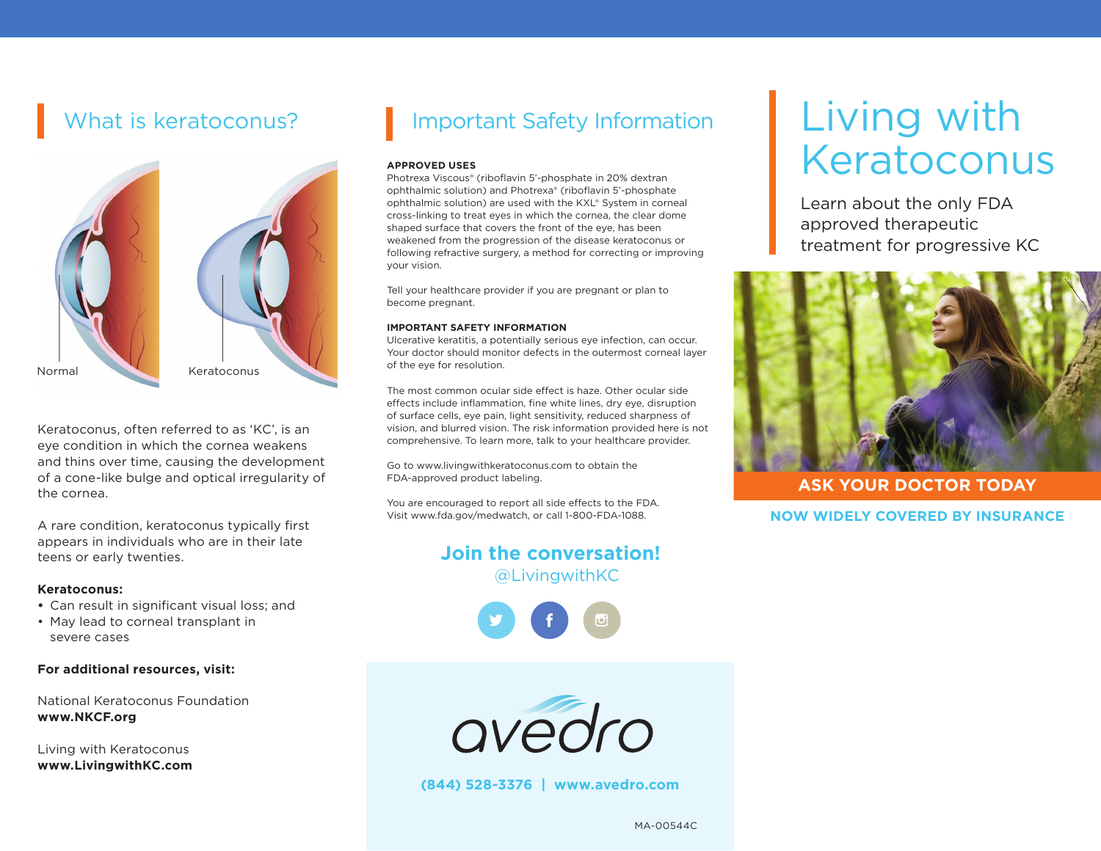

Keratoconus, often referred to as 'KC', is an eye condition in which the cornea weakens and thins over time, causing the development of a cone-like bulge and optical irregularity of the cornea.

A rare condition, keratoconus typically first appears in individuals who are in their late teens or early twenties.

#### **Keratoconus:**

- **•** Can result in significant visual loss; and
- May lead to corneal transplant in severe cases

#### **For additional resources, visit:**

National Keratoconus Foundation **www.NKCF.org** 

Living with Keratoconus **www.LivingwithKC.com**

# What is keratoconus? **Indee Setube Information**

#### **APPROVED USES**

Photrexa Viscous® (riboflavin 5'-phosphate in 20% dextran ophthalmic solution) and Photrexa® (riboflavin 5'-phosphate ophthalmic solution) are used with the KXL® System in corneal cross-linking to treat eyes in which the cornea, the clear dome shaped surface that covers the front of the eye, has been weakened from the progression of the disease keratoconus or following refractive surgery, a method for correcting or improving your vision.

Tell your healthcare provider if you are pregnant or plan to become pregnant.

#### **IMPORTANT SAFETY INFORMATION**

Ulcerative keratitis, a potentially serious eye infection, can occur. Your doctor should monitor defects in the outermost corneal layer of the eye for resolution.

The most common ocular side effect is haze. Other ocular side effects include inflammation, fine white lines, dry eye, disruption of surface cells, eye pain, light sensitivity, reduced sharpness of vision, and blurred vision. The risk information provided here is not comprehensive. To learn more, talk to your healthcare provider.

Go to www.livingwithkeratoconus.com to obtain the FDA-approved product labeling.

You are encouraged to report all side effects to the FDA. Visit www.fda.gov/medwatch, or call 1-800-FDA-1088.

### **Join the conversation!**  @LivingwithKC





**(844) 528-3376 | www.avedro.com**

# Living with Keratoconus

Learn about the only FDA approved therapeutic treatment for progressive KC



#### **ASK YOUR DOCTOR TODAY**

#### **NOW WIDELY COVERED BY INSURANCE**